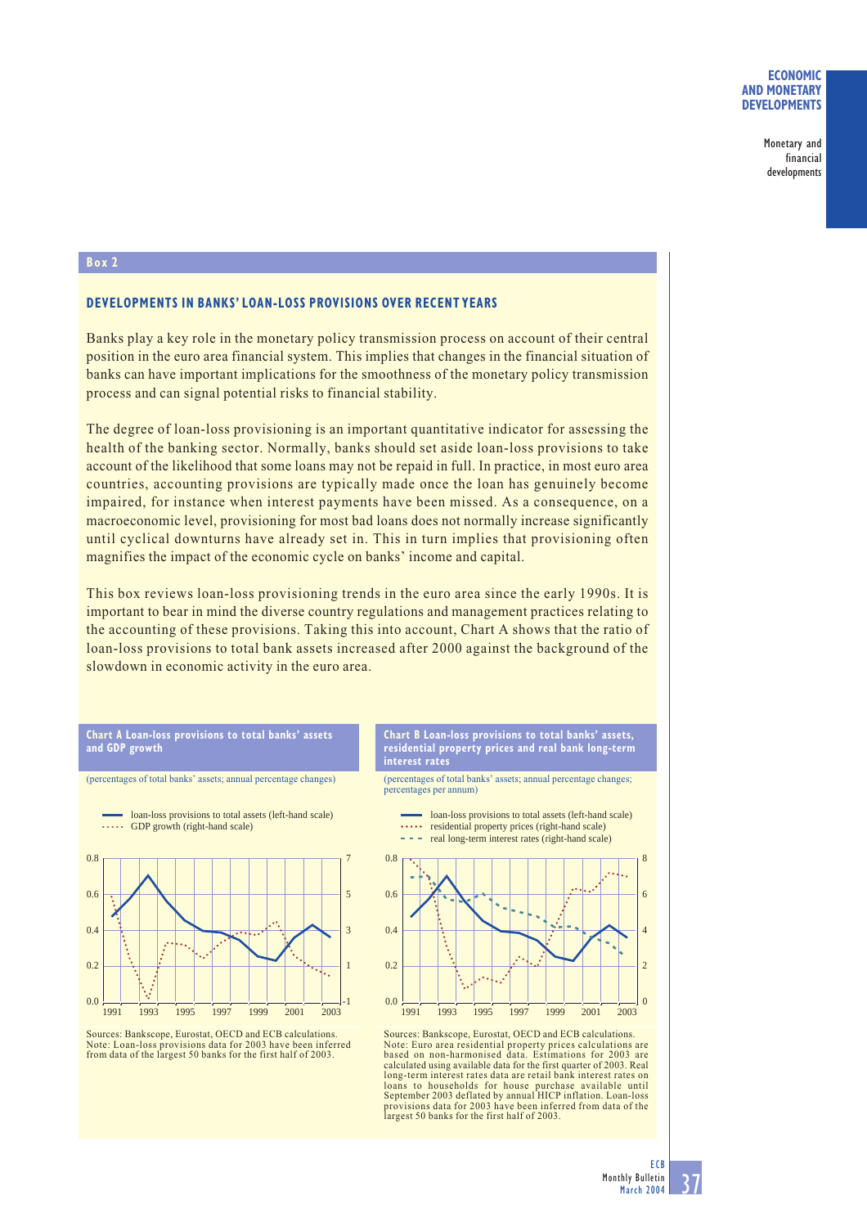## **ECONOMIC AND MONETARY DEVELOPMENTS**

Monetary and financial developments

## **Box 2**

## **DEVELOPMENTS IN BANKS' LOAN-LOSS PROVISIONS OVER RECENT YEARS**

Banks play a key role in the monetary policy transmission process on account of their central position in the euro area financial system. This implies that changes in the financial situation of banks can have important implications for the smoothness of the monetary policy transmission process and can signal potential risks to financial stability.

The degree of loan-loss provisioning is an important quantitative indicator for assessing the health of the banking sector. Normally, banks should set aside loan-loss provisions to take account of the likelihood that some loans may not be repaid in full. In practice, in most euro area countries, accounting provisions are typically made once the loan has genuinely become impaired, for instance when interest payments have been missed. As a consequence, on a macroeconomic level, provisioning for most bad loans does not normally increase significantly until cyclical downturns have already set in. This in turn implies that provisioning often magnifies the impact of the economic cycle on banks' income and capital.

This box reviews loan-loss provisioning trends in the euro area since the early 1990s. It is important to bear in mind the diverse country regulations and management practices relating to the accounting of these provisions. Taking this into account, Chart A shows that the ratio of loan-loss provisions to total bank assets increased after 2000 against the background of the slowdown in economic activity in the euro area.



**Chart A Loan-loss provisions to total banks' assets**

**and GDP growth**

**Chart B Loan-loss provisions to total banks' assets, residential property prices and real bank long-term interest rates**

(percentages of total banks' assets; annual percentage changes; percentages per annum)

> loan-loss provisions to total assets (left-hand scale) residential property prices (right-hand scale)



Sources: Bankscope, Eurostat, OECD and ECB calculations. Note: Euro area residential property prices calculations are based on non-harmonised data. Estimations for 2003 are calculated using available data for the first quarter of 2003. Real long-term interest rates data are retail bank interest rates on loans to households for house purchase available until September 2003 deflated by annual HICP inflation. Loan-loss provisions data for 2003 have been inferred from data of the largest 50 banks for the first half of 2003.

Sources: Bankscope, Eurostat, OECD and ECB calculations. Note: Loan-loss provisions data for 2003 have been inferred from data of the largest 50 banks for the first half of 2003.